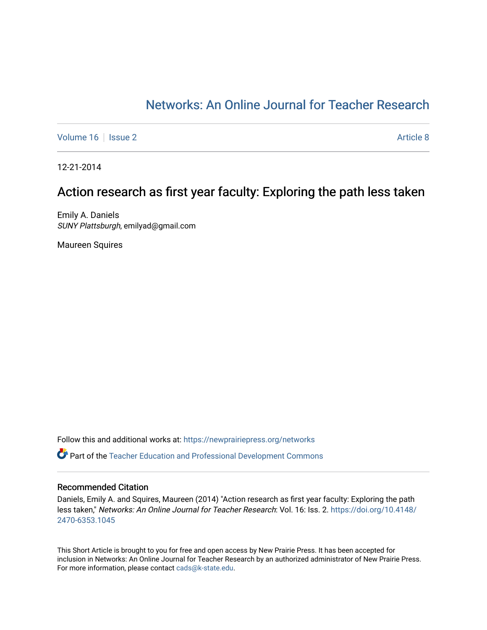## [Networks: An Online Journal for Teacher Research](https://newprairiepress.org/networks)

[Volume 16](https://newprairiepress.org/networks/vol16) September 2 [Article 8](https://newprairiepress.org/networks/vol16/iss2/8) Article 8 Article 8

12-21-2014

# Action research as first year faculty: Exploring the path less taken

Emily A. Daniels SUNY Plattsburgh, emilyad@gmail.com

Maureen Squires

Follow this and additional works at: [https://newprairiepress.org/networks](https://newprairiepress.org/networks?utm_source=newprairiepress.org%2Fnetworks%2Fvol16%2Fiss2%2F8&utm_medium=PDF&utm_campaign=PDFCoverPages)

Part of the [Teacher Education and Professional Development Commons](http://network.bepress.com/hgg/discipline/803?utm_source=newprairiepress.org%2Fnetworks%2Fvol16%2Fiss2%2F8&utm_medium=PDF&utm_campaign=PDFCoverPages) 

#### Recommended Citation

Daniels, Emily A. and Squires, Maureen (2014) "Action research as first year faculty: Exploring the path less taken," Networks: An Online Journal for Teacher Research: Vol. 16: Iss. 2. [https://doi.org/10.4148/](https://doi.org/10.4148/2470-6353.1045) [2470-6353.1045](https://doi.org/10.4148/2470-6353.1045) 

This Short Article is brought to you for free and open access by New Prairie Press. It has been accepted for inclusion in Networks: An Online Journal for Teacher Research by an authorized administrator of New Prairie Press. For more information, please contact [cads@k-state.edu.](mailto:cads@k-state.edu)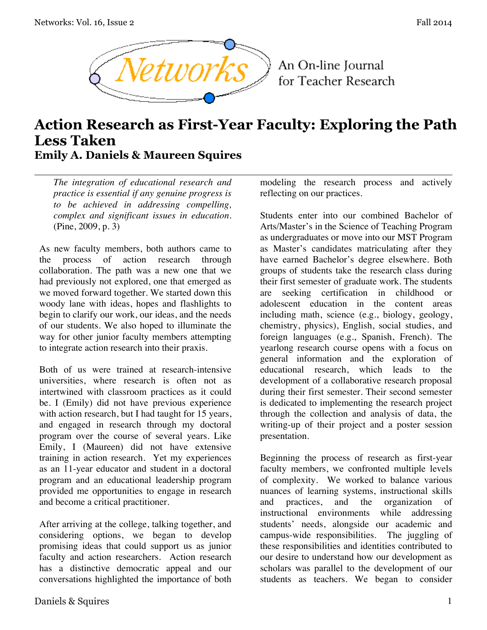

An On-line Journal for Teacher Research

# **Action Research as First-Year Faculty: Exploring the Path Less Taken Emily A. Daniels & Maureen Squires**

*The integration of educational research and practice is essential if any genuine progress is to be achieved in addressing compelling, complex and significant issues in education.* (Pine, 2009, p. 3)

As new faculty members, both authors came to the process of action research through collaboration. The path was a new one that we had previously not explored, one that emerged as we moved forward together. We started down this woody lane with ideas, hopes and flashlights to begin to clarify our work, our ideas, and the needs of our students. We also hoped to illuminate the way for other junior faculty members attempting to integrate action research into their praxis.

Both of us were trained at research-intensive universities, where research is often not as intertwined with classroom practices as it could be. I (Emily) did not have previous experience with action research, but I had taught for 15 years, and engaged in research through my doctoral program over the course of several years. Like Emily, I (Maureen) did not have extensive training in action research. Yet my experiences as an 11-year educator and student in a doctoral program and an educational leadership program provided me opportunities to engage in research and become a critical practitioner.

After arriving at the college, talking together, and considering options, we began to develop promising ideas that could support us as junior faculty and action researchers. Action research has a distinctive democratic appeal and our conversations highlighted the importance of both modeling the research process and actively reflecting on our practices.

Students enter into our combined Bachelor of Arts/Master's in the Science of Teaching Program as undergraduates or move into our MST Program as Master's candidates matriculating after they have earned Bachelor's degree elsewhere. Both groups of students take the research class during their first semester of graduate work. The students are seeking certification in childhood or adolescent education in the content areas including math, science (e.g., biology, geology, chemistry, physics), English, social studies, and foreign languages (e.g., Spanish, French). The yearlong research course opens with a focus on general information and the exploration of educational research, which leads to the development of a collaborative research proposal during their first semester. Their second semester is dedicated to implementing the research project through the collection and analysis of data, the writing-up of their project and a poster session presentation.

Beginning the process of research as first-year faculty members, we confronted multiple levels of complexity. We worked to balance various nuances of learning systems, instructional skills and practices, and the organization instructional environments while addressing students' needs, alongside our academic and campus-wide responsibilities. The juggling of these responsibilities and identities contributed to our desire to understand how our development as scholars was parallel to the development of our students as teachers. We began to consider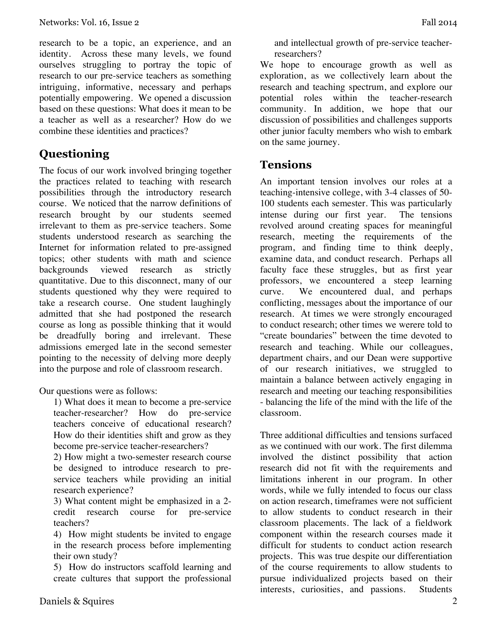research to be a topic, an experience, and an identity. Across these many levels, we found ourselves struggling to portray the topic of research to our pre-service teachers as something intriguing, informative, necessary and perhaps potentially empowering. We opened a discussion based on these questions: What does it mean to be a teacher as well as a researcher? How do we combine these identities and practices?

# **Questioning**

The focus of our work involved bringing together the practices related to teaching with research possibilities through the introductory research course. We noticed that the narrow definitions of research brought by our students seemed irrelevant to them as pre-service teachers. Some students understood research as searching the Internet for information related to pre-assigned topics; other students with math and science backgrounds viewed research as strictly quantitative. Due to this disconnect, many of our students questioned why they were required to take a research course. One student laughingly admitted that she had postponed the research course as long as possible thinking that it would be dreadfully boring and irrelevant. These admissions emerged late in the second semester pointing to the necessity of delving more deeply into the purpose and role of classroom research.

Our questions were as follows:

1) What does it mean to become a pre-service teacher-researcher? How do pre-service teachers conceive of educational research? How do their identities shift and grow as they become pre-service teacher-researchers?

2) How might a two-semester research course be designed to introduce research to preservice teachers while providing an initial research experience?

3) What content might be emphasized in a 2 credit research course for pre-service teachers?

4) How might students be invited to engage in the research process before implementing their own study?

5) How do instructors scaffold learning and create cultures that support the professional and intellectual growth of pre-service teacherresearchers?

We hope to encourage growth as well as exploration, as we collectively learn about the research and teaching spectrum, and explore our potential roles within the teacher-research community. In addition, we hope that our discussion of possibilities and challenges supports other junior faculty members who wish to embark on the same journey.

### **Tensions**

An important tension involves our roles at a teaching-intensive college, with 3-4 classes of 50- 100 students each semester. This was particularly intense during our first year. The tensions revolved around creating spaces for meaningful research, meeting the requirements of the program, and finding time to think deeply, examine data, and conduct research. Perhaps all faculty face these struggles, but as first year professors, we encountered a steep learning curve. We encountered dual, and perhaps conflicting, messages about the importance of our research. At times we were strongly encouraged to conduct research; other times we werere told to "create boundaries" between the time devoted to research and teaching. While our colleagues, department chairs, and our Dean were supportive of our research initiatives, we struggled to maintain a balance between actively engaging in research and meeting our teaching responsibilities - balancing the life of the mind with the life of the classroom.

Three additional difficulties and tensions surfaced as we continued with our work. The first dilemma involved the distinct possibility that action research did not fit with the requirements and limitations inherent in our program. In other words, while we fully intended to focus our class on action research, timeframes were not sufficient to allow students to conduct research in their classroom placements. The lack of a fieldwork component within the research courses made it difficult for students to conduct action research projects. This was true despite our differentiation of the course requirements to allow students to pursue individualized projects based on their interests, curiosities, and passions. Students